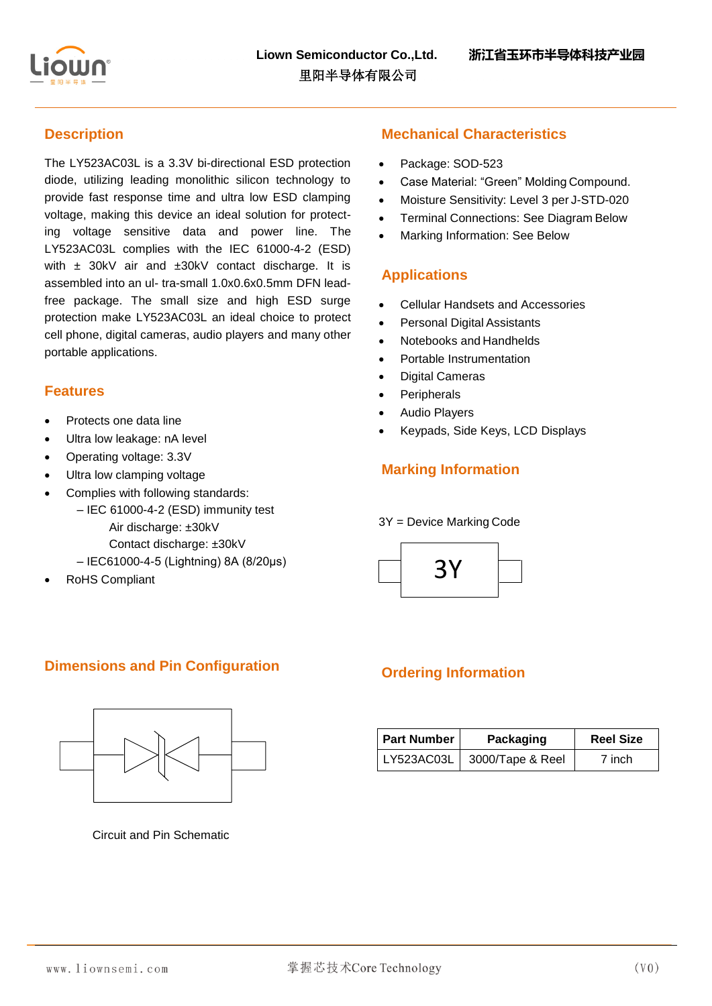

# **Description**

The LY523AC03L is a 3.3V bi-directional ESD protection diode, utilizing leading monolithic silicon technology to provide fast response time and ultra low ESD clamping voltage, making this device an ideal solution for protecting voltage sensitive data and power line. The LY523AC03L complies with the IEC 61000-4-2 (ESD) with ± 30kV air and ±30kV contact discharge. It is assembled into an ul- tra-small 1.0x0.6x0.5mm DFN leadfree package. The small size and high ESD surge protection make LY523AC03L an ideal choice to protect cell phone, digital cameras, audio players and many other portable applications.

### **Features**

- Protects one data line
- Ultra low leakage: nA level
- Operating voltage: 3.3V
- Ultra low clamping voltage
- Complies with following standards:
	- IEC 61000-4-2 (ESD) immunity test Air discharge: ±30kV Contact discharge: ±30kV
	- IEC61000-4-5 (Lightning) 8A (8/20μs)
- RoHS Compliant

### **Mechanical Characteristics**

- Package: SOD-523
- Case Material: "Green" Molding Compound.
- Moisture Sensitivity: Level 3 per J-STD-020
- Terminal Connections: See Diagram Below
- Marking Information: See Below

#### **Applications**

- Cellular Handsets and Accessories
- Personal Digital Assistants
- Notebooks and Handhelds
- Portable Instrumentation
- Digital Cameras
- **Peripherals**
- Audio Players
- Keypads, Side Keys, LCD Displays

# **Marking Information**

#### 3Y = Device Marking Code



### **Dimensions and Pin Configuration**



Circuit and Pin Schematic

# **Ordering Information**

| <b>Part Number</b> | Packaging        | <b>Reel Size</b> |  |
|--------------------|------------------|------------------|--|
| LY523AC03L         | 3000/Tape & Reel | 7 inch           |  |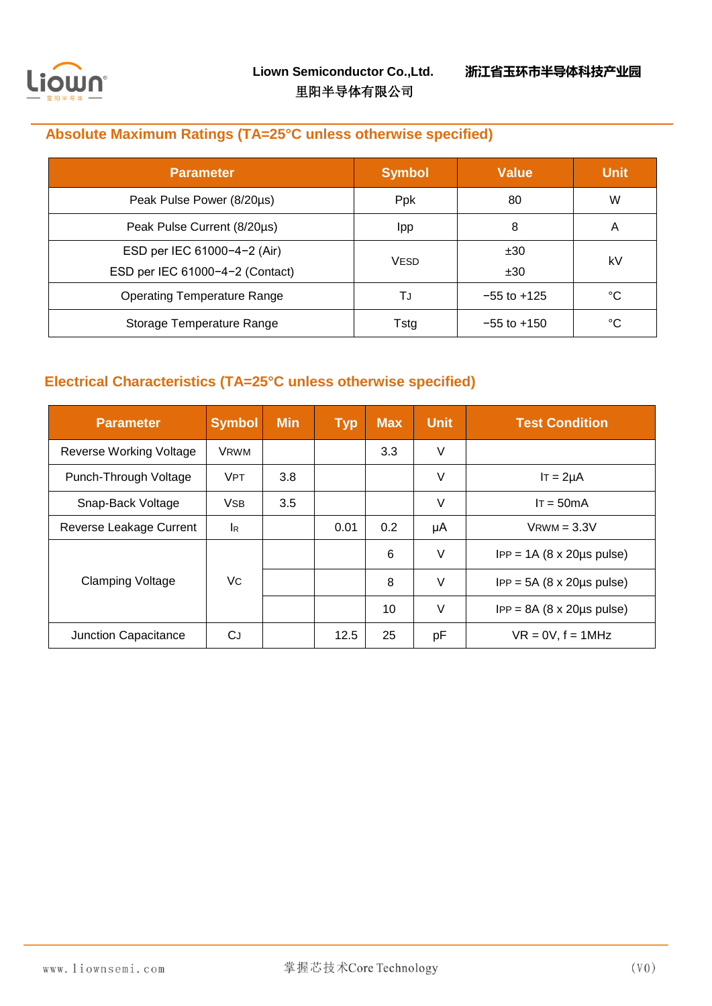

# **Absolute Maximum Ratings (TA=25°C unless otherwise specified)**

| <b>Parameter</b>                   | <b>Symbol</b> | <b>Value</b>    | <b>Unit</b> |
|------------------------------------|---------------|-----------------|-------------|
| Peak Pulse Power (8/20µs)          | Ppk           | 80              | W           |
| Peak Pulse Current (8/20µs)        | Ipp           | 8               | Α           |
| ESD per IEC 61000-4-2 (Air)        |               | ±30             | kV          |
| ESD per IEC 61000-4-2 (Contact)    | <b>VESD</b>   | ±30             |             |
| <b>Operating Temperature Range</b> | TJ            | $-55$ to $+125$ | °C          |
| Storage Temperature Range          | Tstg          | $-55$ to $+150$ | °C          |

# **Electrical Characteristics (TA=25°C unless otherwise specified)**

| <b>Parameter</b>        | <b>Symbol</b>             | <b>Min</b> | <b>Typ</b> | <b>Max</b> | <b>Unit</b> | <b>Test Condition</b>                        |
|-------------------------|---------------------------|------------|------------|------------|-------------|----------------------------------------------|
| Reverse Working Voltage | <b>VRWM</b>               |            |            | 3.3        | V           |                                              |
| Punch-Through Voltage   | <b>VPT</b>                | 3.8        |            |            | V           | $IT = 2\mu A$                                |
| Snap-Back Voltage       | <b>VSB</b>                | 3.5        |            |            | V           | $IT = 50mA$                                  |
| Reverse Leakage Current | $\mathsf{I}_{\mathsf{R}}$ |            | 0.01       | 0.2        | μA          | $V$ RWM = $3.3V$                             |
| <b>Clamping Voltage</b> |                           |            |            | 6          | V           | $IPP = 1A (8 \times 20 \mu s \text{ pulse})$ |
|                         | Vc                        |            |            | 8          | V           | $IPP = 5A (8 \times 20 \mu s pulse)$         |
|                         |                           |            |            | 10         | V           | $IPP = 8A (8 \times 20 \mu s \text{ pulse})$ |
| Junction Capacitance    | СJ                        |            | 12.5       | 25         | рF          | $VR = 0V$ , $f = 1MHz$                       |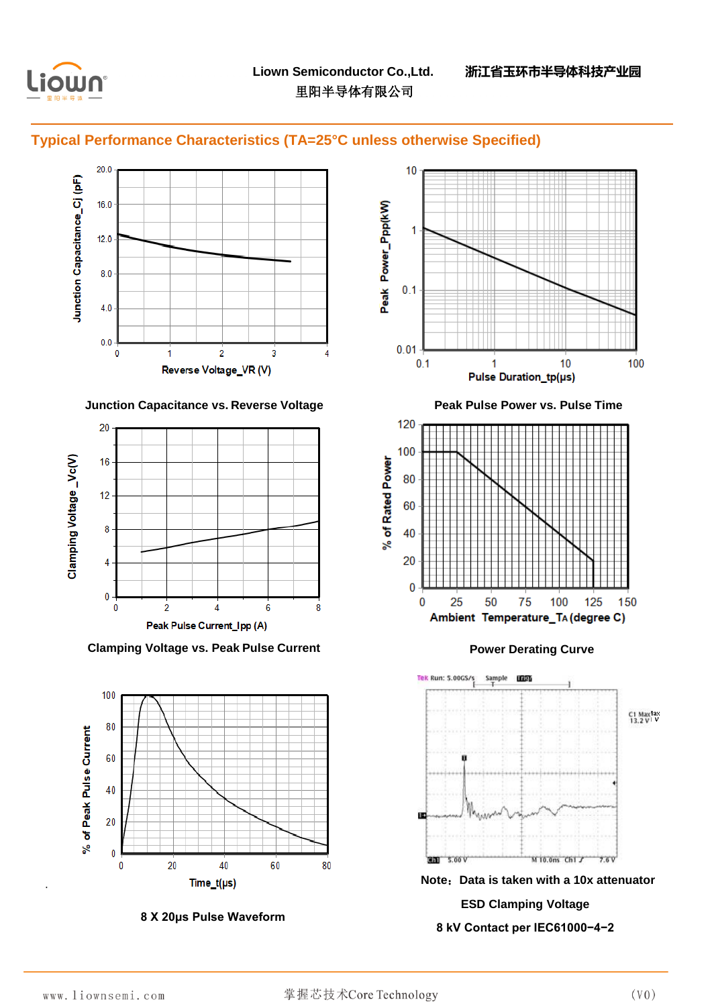

# **Typical Performance Characteristics (TA=25°C unless otherwise Specified)**







**8 X 20μs Pulse Waveform**



·